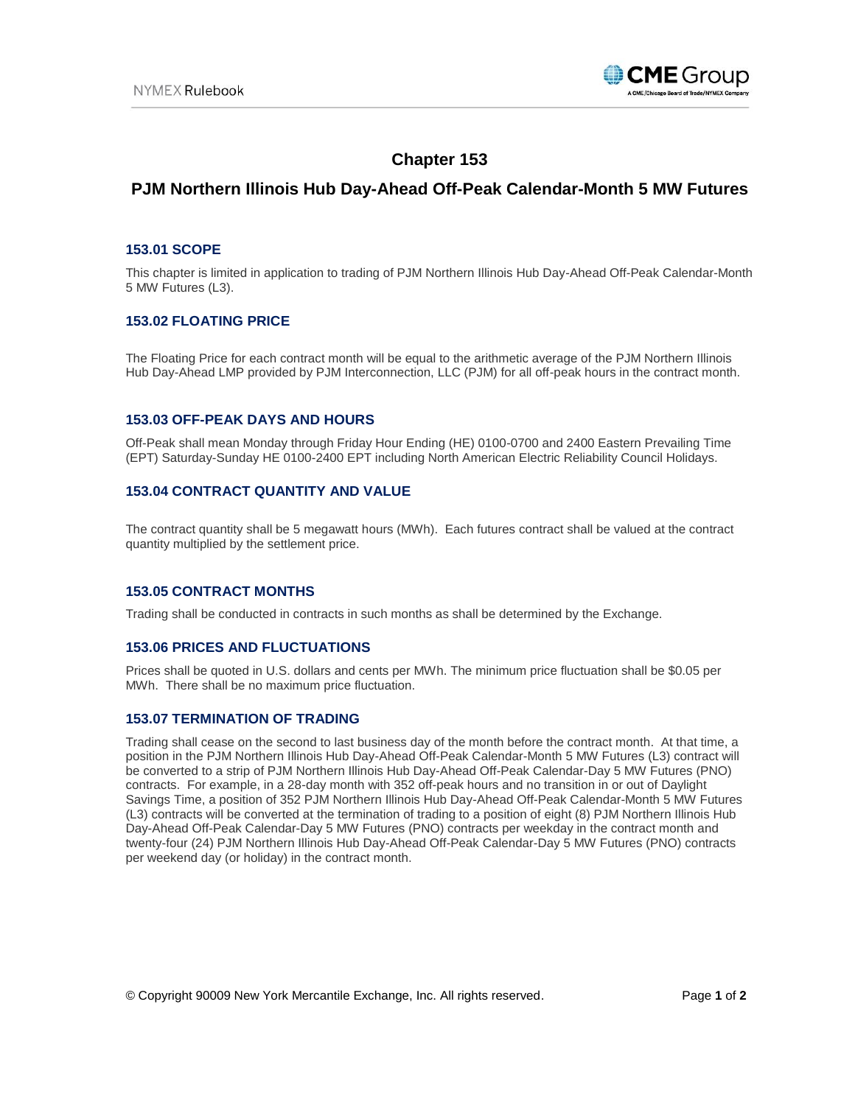

# **Chapter 153**

## **PJM Northern Illinois Hub Day-Ahead Off-Peak Calendar-Month 5 MW Futures**

## **153.01 SCOPE**

This chapter is limited in application to trading of PJM Northern Illinois Hub Day-Ahead Off-Peak Calendar-Month 5 MW Futures (L3).

## **153.02 FLOATING PRICE**

The Floating Price for each contract month will be equal to the arithmetic average of the PJM Northern Illinois Hub Day-Ahead LMP provided by PJM Interconnection, LLC (PJM) for all off-peak hours in the contract month.

#### **153.03 OFF-PEAK DAYS AND HOURS**

Off-Peak shall mean Monday through Friday Hour Ending (HE) 0100-0700 and 2400 Eastern Prevailing Time (EPT) Saturday-Sunday HE 0100-2400 EPT including North American Electric Reliability Council Holidays.

## **153.04 CONTRACT QUANTITY AND VALUE**

The contract quantity shall be 5 megawatt hours (MWh). Each futures contract shall be valued at the contract quantity multiplied by the settlement price.

#### **153.05 CONTRACT MONTHS**

Trading shall be conducted in contracts in such months as shall be determined by the Exchange.

#### **153.06 PRICES AND FLUCTUATIONS**

Prices shall be quoted in U.S. dollars and cents per MWh. The minimum price fluctuation shall be \$0.05 per MWh. There shall be no maximum price fluctuation.

#### **153.07 TERMINATION OF TRADING**

Trading shall cease on the second to last business day of the month before the contract month. At that time, a position in the PJM Northern Illinois Hub Day-Ahead Off-Peak Calendar-Month 5 MW Futures (L3) contract will be converted to a strip of PJM Northern Illinois Hub Day-Ahead Off-Peak Calendar-Day 5 MW Futures (PNO) contracts. For example, in a 28-day month with 352 off-peak hours and no transition in or out of Daylight Savings Time, a position of 352 PJM Northern Illinois Hub Day-Ahead Off-Peak Calendar-Month 5 MW Futures (L3) contracts will be converted at the termination of trading to a position of eight (8) PJM Northern Illinois Hub Day-Ahead Off-Peak Calendar-Day 5 MW Futures (PNO) contracts per weekday in the contract month and twenty-four (24) PJM Northern Illinois Hub Day-Ahead Off-Peak Calendar-Day 5 MW Futures (PNO) contracts per weekend day (or holiday) in the contract month.